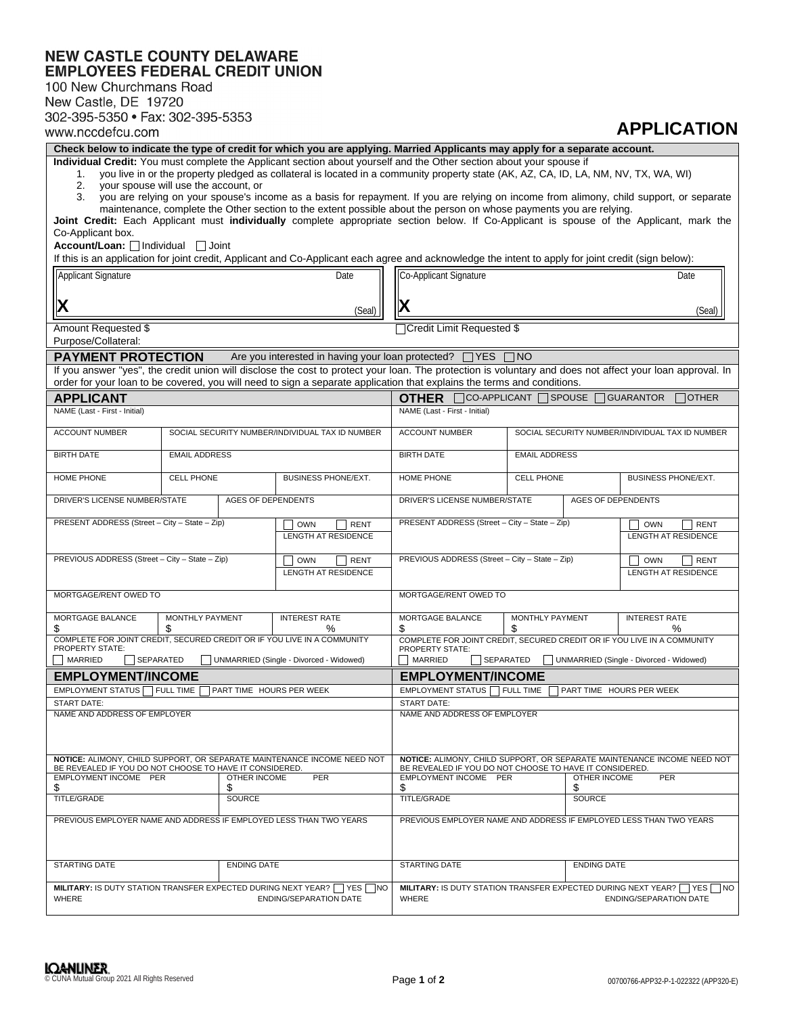## **NEW CASTLE COUNTY DELAWARE<br>EMPLOYEES FEDERAL CREDIT UNION**

100 New Churchmans Road

| New Castle, DE 19720                                                                                                                                                                                                                                              |                                                                         |                                                                          |                                                                                                                                    |                                                                           |                                                                                                                                                           |  |  |
|-------------------------------------------------------------------------------------------------------------------------------------------------------------------------------------------------------------------------------------------------------------------|-------------------------------------------------------------------------|--------------------------------------------------------------------------|------------------------------------------------------------------------------------------------------------------------------------|---------------------------------------------------------------------------|-----------------------------------------------------------------------------------------------------------------------------------------------------------|--|--|
| 302-395-5350 • Fax: 302-395-5353                                                                                                                                                                                                                                  |                                                                         |                                                                          |                                                                                                                                    |                                                                           | <b>APPLICATION</b>                                                                                                                                        |  |  |
| www.nccdefcu.com<br>Check below to indicate the type of credit for which you are applying. Married Applicants may apply for a separate account.                                                                                                                   |                                                                         |                                                                          |                                                                                                                                    |                                                                           |                                                                                                                                                           |  |  |
|                                                                                                                                                                                                                                                                   |                                                                         |                                                                          |                                                                                                                                    |                                                                           |                                                                                                                                                           |  |  |
| Individual Credit: You must complete the Applicant section about yourself and the Other section about your spouse if<br>you live in or the property pledged as collateral is located in a community property state (AK, AZ, CA, ID, LA, NM, NV, TX, WA, WI)<br>1. |                                                                         |                                                                          |                                                                                                                                    |                                                                           |                                                                                                                                                           |  |  |
| 2.<br>your spouse will use the account, or<br>you are relying on your spouse's income as a basis for repayment. If you are relying on income from alimony, child support, or separate                                                                             |                                                                         |                                                                          |                                                                                                                                    |                                                                           |                                                                                                                                                           |  |  |
| 3.                                                                                                                                                                                                                                                                |                                                                         |                                                                          | maintenance, complete the Other section to the extent possible about the person on whose payments you are relying.                 |                                                                           |                                                                                                                                                           |  |  |
|                                                                                                                                                                                                                                                                   |                                                                         |                                                                          |                                                                                                                                    |                                                                           | Joint Credit: Each Applicant must individually complete appropriate section below. If Co-Applicant is spouse of the Applicant, mark the                   |  |  |
| Co-Applicant box.                                                                                                                                                                                                                                                 |                                                                         |                                                                          |                                                                                                                                    |                                                                           |                                                                                                                                                           |  |  |
| Account/Loan:   Individual   Joint<br>If this is an application for joint credit, Applicant and Co-Applicant each agree and acknowledge the intent to apply for joint credit (sign below):                                                                        |                                                                         |                                                                          |                                                                                                                                    |                                                                           |                                                                                                                                                           |  |  |
| Applicant Signature<br>Date                                                                                                                                                                                                                                       |                                                                         |                                                                          | Co-Applicant Signature<br>Date                                                                                                     |                                                                           |                                                                                                                                                           |  |  |
|                                                                                                                                                                                                                                                                   |                                                                         |                                                                          |                                                                                                                                    |                                                                           |                                                                                                                                                           |  |  |
| IХ<br>(Seal)                                                                                                                                                                                                                                                      |                                                                         |                                                                          |                                                                                                                                    |                                                                           | (Seal)                                                                                                                                                    |  |  |
| Amount Requested \$                                                                                                                                                                                                                                               |                                                                         |                                                                          | <b>Credit Limit Requested \$</b>                                                                                                   |                                                                           |                                                                                                                                                           |  |  |
| Purpose/Collateral:                                                                                                                                                                                                                                               |                                                                         |                                                                          |                                                                                                                                    |                                                                           |                                                                                                                                                           |  |  |
| <b>PAYMENT PROTECTION</b>                                                                                                                                                                                                                                         |                                                                         | Are you interested in having your loan protected? □ YES                  |                                                                                                                                    | $\Box$ NO                                                                 |                                                                                                                                                           |  |  |
|                                                                                                                                                                                                                                                                   |                                                                         |                                                                          |                                                                                                                                    |                                                                           | If you answer "yes", the credit union will disclose the cost to protect your loan. The protection is voluntary and does not affect your loan approval. In |  |  |
| order for your loan to be covered, you will need to sign a separate application that explains the terms and conditions.                                                                                                                                           |                                                                         |                                                                          |                                                                                                                                    |                                                                           |                                                                                                                                                           |  |  |
| <b>APPLICANT</b><br>NAME (Last - First - Initial)                                                                                                                                                                                                                 |                                                                         |                                                                          | NAME (Last - First - Initial)                                                                                                      | <b>OTHER</b> $\Box$ CO-APPLICANT $\Box$ SPOUSE $\Box$ GUARANTOR<br>Tother |                                                                                                                                                           |  |  |
|                                                                                                                                                                                                                                                                   |                                                                         |                                                                          |                                                                                                                                    |                                                                           |                                                                                                                                                           |  |  |
| <b>ACCOUNT NUMBER</b>                                                                                                                                                                                                                                             |                                                                         | SOCIAL SECURITY NUMBER/INDIVIDUAL TAX ID NUMBER                          | <b>ACCOUNT NUMBER</b>                                                                                                              |                                                                           | SOCIAL SECURITY NUMBER/INDIVIDUAL TAX ID NUMBER                                                                                                           |  |  |
| <b>BIRTH DATE</b>                                                                                                                                                                                                                                                 | <b>EMAIL ADDRESS</b>                                                    |                                                                          | <b>BIRTH DATE</b>                                                                                                                  | <b>EMAIL ADDRESS</b>                                                      |                                                                                                                                                           |  |  |
| HOME PHONE                                                                                                                                                                                                                                                        | <b>CELL PHONE</b>                                                       | <b>BUSINESS PHONE/EXT.</b>                                               | HOME PHONE                                                                                                                         | <b>CELL PHONE</b>                                                         | <b>BUSINESS PHONE/EXT.</b>                                                                                                                                |  |  |
| DRIVER'S LICENSE NUMBER/STATE<br><b>AGES OF DEPENDENTS</b>                                                                                                                                                                                                        |                                                                         |                                                                          | DRIVER'S LICENSE NUMBER/STATE                                                                                                      |                                                                           | <b>AGES OF DEPENDENTS</b>                                                                                                                                 |  |  |
| PRESENT ADDRESS (Street - City - State - Zip)<br><b>RENT</b><br><b>OWN</b><br><b>LENGTH AT RESIDENCE</b>                                                                                                                                                          |                                                                         |                                                                          | PRESENT ADDRESS (Street - City - State - Zip)                                                                                      |                                                                           | <b>OWN</b><br><b>RENT</b><br><b>LENGTH AT RESIDENCE</b>                                                                                                   |  |  |
| PREVIOUS ADDRESS (Street - City - State - Zip)<br><b>OWN</b><br><b>RENT</b>                                                                                                                                                                                       |                                                                         |                                                                          | PREVIOUS ADDRESS (Street - City - State - Zip)                                                                                     |                                                                           |                                                                                                                                                           |  |  |
| <b>LENGTH AT RESIDENCE</b>                                                                                                                                                                                                                                        |                                                                         |                                                                          |                                                                                                                                    | <b>OWN</b><br><b>RENT</b><br><b>LENGTH AT RESIDENCE</b>                   |                                                                                                                                                           |  |  |
| MORTGAGE/RENT OWED TO                                                                                                                                                                                                                                             |                                                                         |                                                                          | MORTGAGE/RENT OWED TO                                                                                                              |                                                                           |                                                                                                                                                           |  |  |
|                                                                                                                                                                                                                                                                   |                                                                         |                                                                          |                                                                                                                                    |                                                                           |                                                                                                                                                           |  |  |
| MORTGAGE BALANCE                                                                                                                                                                                                                                                  | MONTHLY PAYMENT<br>\$                                                   | <b>INTEREST RATE</b>                                                     | MORTGAGE BALANCE                                                                                                                   | MONTHLY PAYMENT<br>S                                                      | <b>INTEREST RATE</b>                                                                                                                                      |  |  |
| \$                                                                                                                                                                                                                                                                | COMPLETE FOR JOINT CREDIT, SECURED CREDIT OR IF YOU LIVE IN A COMMUNITY | ℅                                                                        | \$<br>COMPLETE FOR JOINT CREDIT, SECURED CREDIT OR IF YOU LIVE IN A COMMUNITY                                                      |                                                                           | ℅                                                                                                                                                         |  |  |
| <b>PROPERTY STATE:</b><br><b>MARRIED</b><br>SEPARATED<br>  UNMARRIED (Single - Divorced - Widowed)                                                                                                                                                                |                                                                         |                                                                          | <b>PROPERTY STATE:</b><br>MARRIED<br>    SEPARATED                                                                                 |                                                                           | UNMARRIED (Single - Divorced - Widowed)                                                                                                                   |  |  |
|                                                                                                                                                                                                                                                                   |                                                                         |                                                                          |                                                                                                                                    |                                                                           |                                                                                                                                                           |  |  |
| <b>EMPLOYMENT/INCOME</b><br><b>EMPLOYMENT STATUS</b><br><b>FULL TIME</b><br>PART TIME HOURS PER WEEK                                                                                                                                                              |                                                                         |                                                                          | <b>EMPLOYMENT/INCOME</b><br>EMPLOYMENT STATUS<br>T FULL TIME<br>PART TIME HOURS PER WEEK                                           |                                                                           |                                                                                                                                                           |  |  |
| <b>START DATE:</b>                                                                                                                                                                                                                                                |                                                                         |                                                                          | START DATE:                                                                                                                        |                                                                           |                                                                                                                                                           |  |  |
| NAME AND ADDRESS OF EMPLOYER                                                                                                                                                                                                                                      |                                                                         |                                                                          | NAME AND ADDRESS OF EMPLOYER                                                                                                       |                                                                           |                                                                                                                                                           |  |  |
|                                                                                                                                                                                                                                                                   |                                                                         |                                                                          |                                                                                                                                    |                                                                           |                                                                                                                                                           |  |  |
| NOTICE: ALIMONY, CHILD SUPPORT, OR SEPARATE MAINTENANCE INCOME NEED NOT<br>BE REVEALED IF YOU DO NOT CHOOSE TO HAVE IT CONSIDERED.                                                                                                                                |                                                                         |                                                                          | NOTICE: ALIMONY, CHILD SUPPORT, OR SEPARATE MAINTENANCE INCOME NEED NOT<br>BE REVEALED IF YOU DO NOT CHOOSE TO HAVE IT CONSIDERED. |                                                                           |                                                                                                                                                           |  |  |
| EMPLOYMENT INCOME PER                                                                                                                                                                                                                                             | <b>OTHER INCOME</b><br>\$                                               | <b>PER</b>                                                               | EMPLOYMENT INCOME PER<br>\$                                                                                                        | <b>OTHER INCOME</b><br>\$                                                 | <b>PER</b>                                                                                                                                                |  |  |
| \$<br><b>TITLE/GRADE</b>                                                                                                                                                                                                                                          | <b>SOURCE</b>                                                           |                                                                          | TITLE/GRADE                                                                                                                        | <b>SOURCE</b>                                                             |                                                                                                                                                           |  |  |
| PREVIOUS EMPLOYER NAME AND ADDRESS IF EMPLOYED LESS THAN TWO YEARS                                                                                                                                                                                                |                                                                         |                                                                          | PREVIOUS EMPLOYER NAME AND ADDRESS IF EMPLOYED LESS THAN TWO YEARS                                                                 |                                                                           |                                                                                                                                                           |  |  |
|                                                                                                                                                                                                                                                                   |                                                                         |                                                                          |                                                                                                                                    |                                                                           |                                                                                                                                                           |  |  |
| <b>STARTING DATE</b>                                                                                                                                                                                                                                              | <b>ENDING DATE</b>                                                      |                                                                          | <b>STARTING DATE</b>                                                                                                               | <b>ENDING DATE</b>                                                        |                                                                                                                                                           |  |  |
|                                                                                                                                                                                                                                                                   |                                                                         | MILITARY: IS DUTY STATION TRANSFER EXPECTED DURING NEXT YEAR?   YES   NO |                                                                                                                                    |                                                                           | <b>MILITARY:</b> IS DUTY STATION TRANSFER EXPECTED DURING NEXT YEAR? $\Box$ YES $\Box$ NO                                                                 |  |  |
| <b>ENDING/SEPARATION DATE</b><br>WHERE                                                                                                                                                                                                                            |                                                                         |                                                                          | WHERE                                                                                                                              |                                                                           | <b>ENDING/SEPARATION DATE</b>                                                                                                                             |  |  |